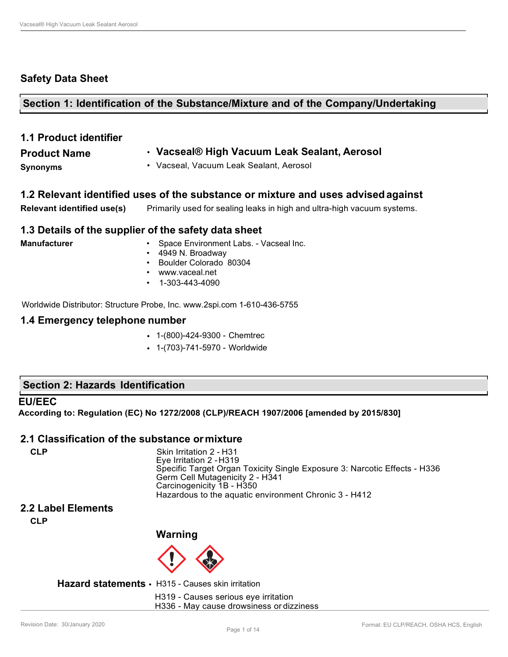#### **Safety Data Sheet**

**Section 1: Identification of the Substance/Mixture and of the Company/Undertaking**

| <b>1.1 Product identifier</b> |                                              |
|-------------------------------|----------------------------------------------|
| <b>Product Name</b>           | • Vacseal® High Vacuum Leak Sealant, Aerosol |
| <b>Synonyms</b>               | • Vacseal, Vacuum Leak Sealant, Aerosol      |
|                               |                                              |

**1.2 Relevant identified uses of the substance or mixture and uses advised against Relevant identified use(s)** Primarily used for sealing leaks in high and ultra-high vacuum systems.

#### **1.3 Details of the supplier of the safety data sheet**

| <b>Manufacturer</b> | • Space Environment Labs. |
|---------------------|---------------------------|
|                     | $\cdot$ 4949 N. Broadway  |
|                     | • Boulder Colorado 80304  |

- [www.vaceal.net](http://www.vaceal.net/)
- 1-303-443-4090

Worldwide Distributor: Structure Probe, Inc. [www.2spi.com](http://www.2spi.com/) 1-610-436-5755

#### **1.4 Emergency telephone number**

- 1-(800)-424-9300 Chemtrec
- 1-(703)-741-5970 Worldwide

#### **Section 2: Hazards Identification**

#### **EU/EEC**

**According to: Regulation (EC) No 1272/2008 (CLP)/REACH 1907/2006 [amended by 2015/830]**

#### **2.1 Classification of the substance ormixture**

**CLP** Skin Irritation 2 - H31 Eye Irritation 2 -H319 Specific Target Organ Toxicity Single Exposure 3: Narcotic Effects - H336 Germ Cell Mutagenicity 2 - H341 Carcinogenicity 1B - H350 Hazardous to the aquatic environment Chronic 3 - H412

- Vacseal Inc.

#### **2.2 Label Elements**

**CLP**

**Warning**



**Hazard statements** • H315 - Causes skin irritation

H319 - Causes serious eye irritation H336 - May cause drowsiness or dizziness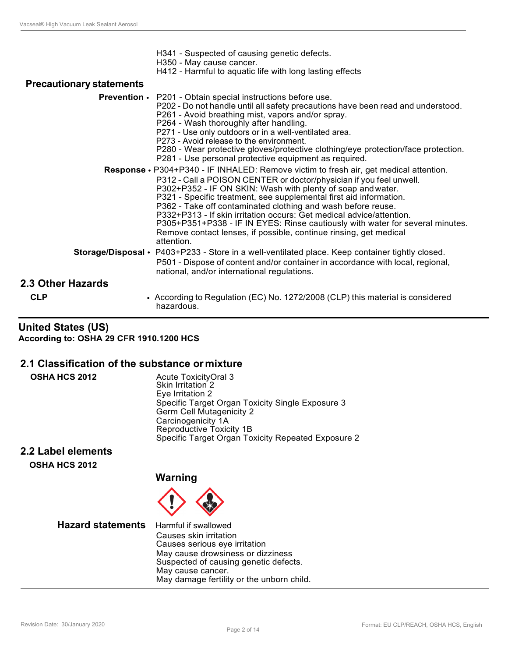| H341 - Suspected of causing genetic defects. |  |
|----------------------------------------------|--|
|                                              |  |

- H350 May cause cancer.
- H412 Harmful to aquatic life with long lasting effects

#### **Precautionary statements**

|                   | <b>Prevention •</b> P201 - Obtain special instructions before use.<br>P202 - Do not handle until all safety precautions have been read and understood.<br>P261 - Avoid breathing mist, vapors and/or spray.<br>P264 - Wash thoroughly after handling.<br>P271 - Use only outdoors or in a well-ventilated area.<br>P273 - Avoid release to the environment.<br>P280 - Wear protective gloves/protective clothing/eye protection/face protection.<br>P281 - Use personal protective equipment as required.                                                                                                            |
|-------------------|----------------------------------------------------------------------------------------------------------------------------------------------------------------------------------------------------------------------------------------------------------------------------------------------------------------------------------------------------------------------------------------------------------------------------------------------------------------------------------------------------------------------------------------------------------------------------------------------------------------------|
|                   | <b>Response •</b> P304+P340 - IF INHALED: Remove victim to fresh air, get medical attention.<br>P312 - Call a POISON CENTER or doctor/physician if you feel unwell.<br>P302+P352 - IF ON SKIN: Wash with plenty of soap and water.<br>P321 - Specific treatment, see supplemental first aid information.<br>P362 - Take off contaminated clothing and wash before reuse.<br>P332+P313 - If skin irritation occurs: Get medical advice/attention.<br>P305+P351+P338 - IF IN EYES: Rinse cautiously with water for several minutes.<br>Remove contact lenses, if possible, continue rinsing, get medical<br>attention. |
|                   | Storage/Disposal • P403+P233 - Store in a well-ventilated place. Keep container tightly closed.<br>P501 - Dispose of content and/or container in accordance with local, regional,<br>national, and/or international regulations.                                                                                                                                                                                                                                                                                                                                                                                     |
| 2.3 Other Hazards |                                                                                                                                                                                                                                                                                                                                                                                                                                                                                                                                                                                                                      |
| <b>CLP</b>        | • According to Regulation (EC) No. 1272/2008 (CLP) this material is considered<br>hazardous.                                                                                                                                                                                                                                                                                                                                                                                                                                                                                                                         |

#### **United States (US) According to: OSHA 29 CFR 1910.1200 HCS**

#### **2.1 Classification of the substance ormixture**

| <b>OSHA HCS 2012</b>      | Acute ToxicityOral 3<br>Skin Irritation 2<br>Eye Irritation 2                                                                  |
|---------------------------|--------------------------------------------------------------------------------------------------------------------------------|
|                           | Specific Target Organ Toxicity Single Exposure 3<br>Germ Cell Mutagenicity 2<br>Carcinogenicity 1A<br>Reproductive Toxicity 1B |
|                           | Specific Target Organ Toxicity Repeated Exposure 2                                                                             |
| <b>2.2 Label elements</b> |                                                                                                                                |
| <b>OSHA HCS 2012</b>      |                                                                                                                                |
|                           | Warning                                                                                                                        |

 $\bigoplus$ 

| <b>Hazard statements</b> Harmful if swallowed | Causes skin irritation<br>Causes serious eye irritation<br>May cause drowsiness or dizziness<br>Suspected of causing genetic defects. |
|-----------------------------------------------|---------------------------------------------------------------------------------------------------------------------------------------|
|                                               | May cause cancer.<br>May damage fertility or the unborn child.                                                                        |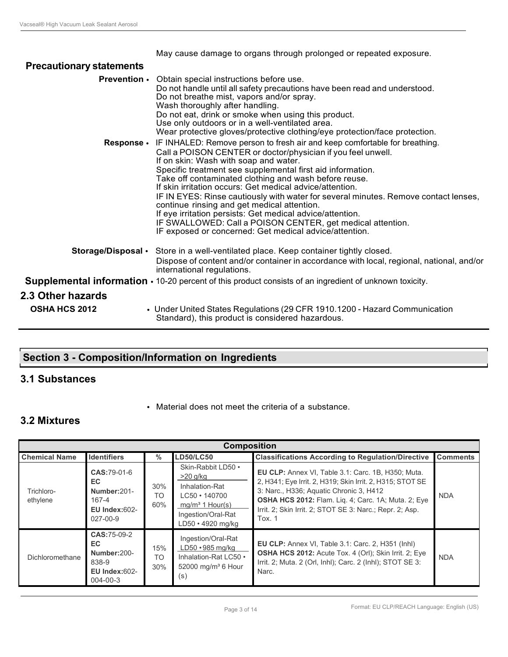|  |  |  | May cause damage to organs through prolonged or repeated exposure. |
|--|--|--|--------------------------------------------------------------------|
|  |  |  |                                                                    |
|  |  |  |                                                                    |
|  |  |  |                                                                    |

| <b>Precautionary statements</b> |                                                                                                                                                                                                                                                                                                                                                                                                                                                                                                                                                                                                                                                                                                   |
|---------------------------------|---------------------------------------------------------------------------------------------------------------------------------------------------------------------------------------------------------------------------------------------------------------------------------------------------------------------------------------------------------------------------------------------------------------------------------------------------------------------------------------------------------------------------------------------------------------------------------------------------------------------------------------------------------------------------------------------------|
|                                 | <b>Prevention •</b> Obtain special instructions before use.<br>Do not handle until all safety precautions have been read and understood.<br>Do not breathe mist, vapors and/or spray.<br>Wash thoroughly after handling.<br>Do not eat, drink or smoke when using this product.<br>Use only outdoors or in a well-ventilated area.<br>Wear protective gloves/protective clothing/eye protection/face protection.                                                                                                                                                                                                                                                                                  |
| <b>Response •</b>               | IF INHALED: Remove person to fresh air and keep comfortable for breathing.<br>Call a POISON CENTER or doctor/physician if you feel unwell.<br>If on skin: Wash with soap and water.<br>Specific treatment see supplemental first aid information.<br>Take off contaminated clothing and wash before reuse.<br>If skin irritation occurs: Get medical advice/attention.<br>IF IN EYES: Rinse cautiously with water for several minutes. Remove contact lenses,<br>continue rinsing and get medical attention.<br>If eye irritation persists: Get medical advice/attention.<br>IF SWALLOWED: Call a POISON CENTER, get medical attention.<br>IF exposed or concerned: Get medical advice/attention. |
|                                 | Storage/Disposal • Store in a well-ventilated place. Keep container tightly closed.<br>Dispose of content and/or container in accordance with local, regional, national, and/or                                                                                                                                                                                                                                                                                                                                                                                                                                                                                                                   |
|                                 | international regulations.<br><b>Supplemental information <math>\cdot</math></b> 10-20 percent of this product consists of an ingredient of unknown toxicity.                                                                                                                                                                                                                                                                                                                                                                                                                                                                                                                                     |
| 2.3 Other hazards               |                                                                                                                                                                                                                                                                                                                                                                                                                                                                                                                                                                                                                                                                                                   |
| <b>OSHA HCS 2012</b>            | • Under United States Regulations (29 CFR 1910.1200 - Hazard Communication<br>Standard), this product is considered hazardous.                                                                                                                                                                                                                                                                                                                                                                                                                                                                                                                                                                    |

### **Section 3 - Composition/Information on Ingredients**

#### **3.1 Substances**

• Material does not meet the criteria of a substance.

### **3.2 Mixtures**

| <b>Composition</b>     |                                                                                      |                  |                                                                                                                                           |                                                                                                                                                                                                                                                                                                |                 |  |
|------------------------|--------------------------------------------------------------------------------------|------------------|-------------------------------------------------------------------------------------------------------------------------------------------|------------------------------------------------------------------------------------------------------------------------------------------------------------------------------------------------------------------------------------------------------------------------------------------------|-----------------|--|
| <b>Chemical Name</b>   | <b>Identifiers</b>                                                                   | $\%$             | <b>LD50/LC50</b>                                                                                                                          | <b>Classifications According to Regulation/Directive</b>                                                                                                                                                                                                                                       | <b>Comments</b> |  |
| Trichloro-<br>ethylene | CAS:79-01-6<br>EC.<br>Number:201-<br>167-4<br><b>EU Index:602-</b><br>$027 - 00 - 9$ | 30%<br>TO<br>60% | Skin-Rabbit LD50 .<br>$>20$ g/kg<br>Inhalation-Rat<br>$LC50 \cdot 140700$<br>$mq/m3$ 1 Hour(s)<br>Ingestion/Oral-Rat<br>LD50 · 4920 mg/kg | EU CLP: Annex VI, Table 3.1: Carc. 1B, H350; Muta.<br>2, H341; Eye Irrit. 2, H319; Skin Irrit. 2, H315; STOT SE<br>3: Narc., H336; Aquatic Chronic 3, H412<br><b>OSHA HCS 2012: Flam. Lig. 4; Carc. 1A; Muta. 2; Eye</b><br>Irrit. 2; Skin Irrit. 2; STOT SE 3: Narc.; Repr. 2; Asp.<br>Tox. 1 | <b>NDA</b>      |  |
| Dichloromethane        | CAS:75-09-2<br>EC.<br>Number:200-<br>838-9<br>$EU$ Index: $602-$<br>$004 - 00 - 3$   | 15%<br>TO<br>30% | Ingestion/Oral-Rat<br>$LD50 \cdot 985$ mg/kg<br>Inhalation-Rat LC50 •<br>52000 mg/m <sup>3</sup> 6 Hour<br>(s)                            | <b>EU CLP:</b> Annex VI, Table 3.1: Carc. 2, H351 (Inhl)<br><b>OSHA HCS 2012:</b> Acute Tox. 4 (Orl); Skin Irrit. 2; Eye<br>Irrit. 2; Muta. 2 (Orl, Inhl); Carc. 2 (Inhl); STOT SE 3:<br>Narc.                                                                                                 | <b>NDA</b>      |  |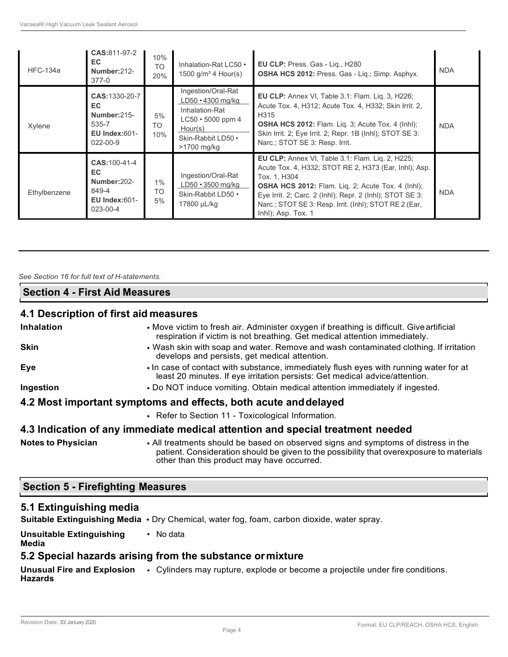| <b>HFC-134a</b> | <b>CAS:</b> 811-97-2<br>EC.<br>Number:212-<br>$377-0$                                 | 10%<br>TO.<br>20%        | Inhalation-Rat LC50 •<br>1500 $g/m^3$ 4 Hour(s)                                                                                            | <b>EU CLP: Press. Gas - Lig., H280</b><br><b>OSHA HCS 2012: Press. Gas - Lig.; Simp. Asphyx.</b>                                                                                                                                                                                                                                         | <b>NDA</b> |
|-----------------|---------------------------------------------------------------------------------------|--------------------------|--------------------------------------------------------------------------------------------------------------------------------------------|------------------------------------------------------------------------------------------------------------------------------------------------------------------------------------------------------------------------------------------------------------------------------------------------------------------------------------------|------------|
| Xylene          | CAS: 1330-20-7<br>EC.<br>Number: 215-<br>535-7<br>EU Index: $601 -$<br>$022 - 00 - 9$ | 5%<br>TO.<br>10%         | Ingestion/Oral-Rat<br>$LD50 \cdot 4300$ mg/kg<br>Inhalation-Rat<br>$LC50 \cdot 5000$ ppm 4<br>Hour(s)<br>Skin-Rabbit LD50 .<br>>1700 mg/kg | EU CLP: Annex VI, Table 3.1: Flam. Liq. 3, H226;<br>Acute Tox. 4, H312; Acute Tox. 4, H332; Skin Irrit. 2,<br>H315<br>OSHA HCS 2012: Flam. Liq. 3; Acute Tox. 4 (lnhl);<br>Skin Irrit. 2; Eye Irrit. 2; Repr. 1B (Inhl); STOT SE 3:<br>Narc.; STOT SE 3: Resp. Irrit.                                                                    | <b>NDA</b> |
| Ethylbenzene    | <b>CAS: 100-41-4</b><br>EC.<br>Number: 202-<br>849-4<br>EU Index: $601-$<br>023-00-4  | $1\%$<br><b>TO</b><br>5% | Ingestion/Oral-Rat<br>$LD50 \cdot 3500$ mg/kg<br>Skin-Rabbit LD50 •<br>17800 µL/kg                                                         | <b>EU CLP:</b> Annex VI, Table 3.1: Flam. Lig. 2, H225;<br>Acute Tox. 4, H332; STOT RE 2, H373 (Ear, Inhl); Asp.<br>Tox. 1. H304<br><b>OSHA HCS 2012:</b> Flam. Liq. 2; Acute Tox. 4 (lnhl);<br>Eye Irrit. 2; Carc. 2 (Inhl); Repr. 2 (Inhl); STOT SE 3:<br>Narc.; STOT SE 3: Resp. Irrit. (Inhl); STOT RE 2 (Ear,<br>Inhl); Asp. Tox. 1 | <b>NDA</b> |

#### *See Section 16 for full text of H-statements.*

#### **Section 4 - First Aid Measures**

#### **4.1 Description of first aid measures**

| <b>Inhalation</b>         | • Move victim to fresh air. Administer oxygen if breathing is difficult. Give artificial<br>respiration if victim is not breathing. Get medical attention immediately.                                                       |
|---------------------------|------------------------------------------------------------------------------------------------------------------------------------------------------------------------------------------------------------------------------|
| <b>Skin</b>               | • Wash skin with soap and water. Remove and wash contaminated clothing. If irritation<br>develops and persists, get medical attention.                                                                                       |
| Eye                       | • In case of contact with substance, immediately flush eyes with running water for at<br>least 20 minutes. If eye irritation persists: Get medical advice/attention.                                                         |
| Ingestion                 | • Do NOT induce vomiting. Obtain medical attention immediately if ingested.                                                                                                                                                  |
|                           | 4.2 Most important symptoms and effects, both acute and delayed                                                                                                                                                              |
|                           | • Refer to Section 11 - Toxicological Information.                                                                                                                                                                           |
|                           | 4.3 Indication of any immediate medical attention and special treatment needed                                                                                                                                               |
| <b>Notes to Physician</b> | . All treatments should be based on observed signs and symptoms of distress in the<br>patient. Consideration should be given to the possibility that overexposure to materials<br>other than this product may have occurred. |

#### **Section 5 - Firefighting Measures**

#### **5.1 Extinguishing media**

**Suitable Extinguishing Media** • Dry Chemical, water fog, foam, carbon dioxide, water spray.

**Unsuitable Extinguishing Media** • No data

#### **5.2 Special hazards arising from the substance ormixture**

**Unusual Fire and Explosion Hazards** • Cylinders may rupture, explode or become a projectile under fire conditions.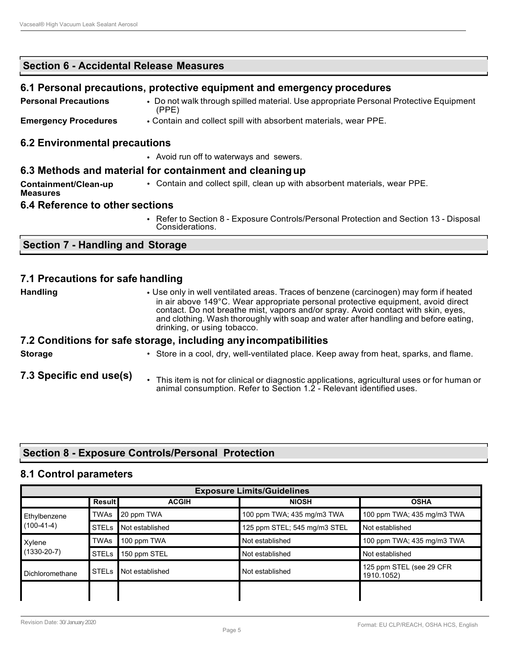**Section 6 - Accidental Release Measures**

| 6.1 Personal precautions, protective equipment and emergency procedures |                                                                                                           |  |  |  |  |
|-------------------------------------------------------------------------|-----------------------------------------------------------------------------------------------------------|--|--|--|--|
| <b>Personal Precautions</b>                                             | • Do not walk through spilled material. Use appropriate Personal Protective Equipment<br>(PPE)            |  |  |  |  |
| <b>Emergency Procedures</b>                                             | • Contain and collect spill with absorbent materials, wear PPE.                                           |  |  |  |  |
| <b>6.2 Environmental precautions</b>                                    |                                                                                                           |  |  |  |  |
|                                                                         | • Avoid run off to waterways and sewers.                                                                  |  |  |  |  |
|                                                                         | 6.3 Methods and material for containment and cleaning up                                                  |  |  |  |  |
| Containment/Clean-up<br><b>Measures</b>                                 | • Contain and collect spill, clean up with absorbent materials, wear PPE.                                 |  |  |  |  |
| 6.4 Reference to other sections                                         |                                                                                                           |  |  |  |  |
|                                                                         | • Refer to Section 8 - Exposure Controls/Personal Protection and Section 13 - Disposal<br>Considerations. |  |  |  |  |

#### **Section 7 - Handling and Storage**

#### **7.1 Precautions for safe handling**

**Handling** • Use only in well ventilated areas. Traces of benzene (carcinogen) may form if heated in air above 149°C. Wear appropriate personal protective equipment, avoid direct contact. Do not breathe mist, vapors and/or spray. Avoid contact with skin, eyes, and clothing. Wash thoroughly with soap and water after handling and before eating, drinking, or using tobacco.

#### **7.2 Conditions for safe storage, including anyincompatibilities**

**Storage**

- Store in a cool, dry, well-ventilated place. Keep away from heat, sparks, and flame.
- **7.3 Specific end use(s)**
	- This item is not for clinical or diagnostic applications, agricultural uses or for human or animal consumption. Refer to Section 1.2 - Relevant identified uses.

#### **Section 8 - Exposure Controls/Personal Protection**

#### **8.1 Control parameters**

| <b>Exposure Limits/Guidelines</b>                            |              |                 |                              |                                        |  |  |
|--------------------------------------------------------------|--------------|-----------------|------------------------------|----------------------------------------|--|--|
| <b>Result</b><br><b>NIOSH</b><br><b>OSHA</b><br><b>ACGIH</b> |              |                 |                              |                                        |  |  |
| Ethylbenzene                                                 | <b>TWAs</b>  | 20 ppm TWA      | 100 ppm TWA; 435 mg/m3 TWA   | 100 ppm TWA; 435 mg/m3 TWA             |  |  |
| $(100-41-4)$                                                 | <b>STELS</b> | Not established | 125 ppm STEL; 545 mg/m3 STEL | Not established                        |  |  |
| Xylene<br>$(1330-20-7)$                                      | <b>TWAs</b>  | 100 ppm TWA     | Not established              | 100 ppm TWA; 435 mg/m3 TWA             |  |  |
|                                                              | <b>STELS</b> | 150 ppm STEL    | Not established              | Not established                        |  |  |
| Dichloromethane                                              | <b>STELs</b> | Not established | Not established              | 125 ppm STEL (see 29 CFR<br>1910.1052) |  |  |
|                                                              |              |                 |                              |                                        |  |  |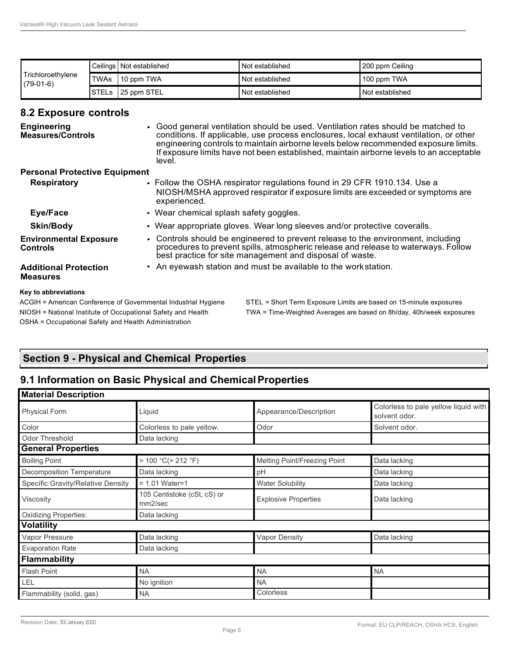| <b>Trichloroethylene</b><br>$(79-01-6)$ |      | Ceilings Not established | Not established | 200 ppm Ceiling |
|-----------------------------------------|------|--------------------------|-----------------|-----------------|
|                                         | TWAs | 10 ppm TWA               | Not established | 100 ppm TWA     |
|                                         |      | STELs 25 ppm STEL        | Not established | Not established |

#### **8.2 Exposure controls**

| <b>Engineering</b><br><b>Measures/Controls</b>                                         | • Good general ventilation should be used. Ventilation rates should be matched to<br>conditions. If applicable, use process enclosures, local exhaust ventilation, or other<br>engineering controls to maintain airborne levels below recommended exposure limits.<br>If exposure limits have not been established, maintain airborne levels to an acceptable<br>level. |  |  |
|----------------------------------------------------------------------------------------|-------------------------------------------------------------------------------------------------------------------------------------------------------------------------------------------------------------------------------------------------------------------------------------------------------------------------------------------------------------------------|--|--|
| <b>Personal Protective Equipment</b>                                                   |                                                                                                                                                                                                                                                                                                                                                                         |  |  |
| <b>Respiratory</b>                                                                     | • Follow the OSHA respirator regulations found in 29 CFR 1910.134. Use a<br>NIOSH/MSHA approved respirator if exposure limits are exceeded or symptoms are<br>experienced.                                                                                                                                                                                              |  |  |
| Eye/Face                                                                               | • Wear chemical splash safety goggles.                                                                                                                                                                                                                                                                                                                                  |  |  |
| <b>Skin/Body</b>                                                                       | • Wear appropriate gloves. Wear long sleeves and/or protective coveralls.                                                                                                                                                                                                                                                                                               |  |  |
| <b>Environmental Exposure</b><br><b>Controls</b>                                       | • Controls should be engineered to prevent release to the environment, including<br>procedures to prevent spills, atmospheric release and release to waterways. Follow<br>best practice for site management and disposal of waste.                                                                                                                                      |  |  |
| <b>Additional Protection</b><br><b>Measures</b>                                        | • An eyewash station and must be available to the work station.                                                                                                                                                                                                                                                                                                         |  |  |
| Key to abbreviations<br>ACGIH = American Conference of Governmental Industrial Hygiene | STEL = Short Term Exposure Limits are based on 15-minute exposures                                                                                                                                                                                                                                                                                                      |  |  |

OSHA = Occupational Safety and Health Administration

NIOSH = National Institute of Occupational Safety and Health TWA = Time-Weighted Averages are based on 8h/day, 40h/week exposures

### **Section 9 - Physical and Chemical Properties**

### **9.1 Information on Basic Physical and ChemicalProperties**

| <b>Material Description</b>              |                                        |                                     |                                                       |  |  |  |
|------------------------------------------|----------------------------------------|-------------------------------------|-------------------------------------------------------|--|--|--|
| <b>Physical Form</b>                     | Liquid                                 | Appearance/Description              | Colorless to pale yellow liquid with<br>solvent odor. |  |  |  |
| Color                                    | Colorless to pale yellow.              | Odor                                | Solvent odor.                                         |  |  |  |
| <b>Odor Threshold</b>                    | Data lacking                           |                                     |                                                       |  |  |  |
| <b>General Properties</b>                |                                        |                                     |                                                       |  |  |  |
| <b>Boiling Point</b>                     | > 100 °C (> 212 °F)                    | <b>Melting Point/Freezing Point</b> | Data lacking                                          |  |  |  |
| <b>Decomposition Temperature</b>         | Data lacking                           | pH                                  | Data lacking                                          |  |  |  |
| <b>Specific Gravity/Relative Density</b> | $= 1.01$ Water=1                       | <b>Water Solubility</b>             | Data lacking                                          |  |  |  |
| Viscosity                                | 105 Centistoke (cSt, cS) or<br>mm2/sec | <b>Explosive Properties</b>         | Data lacking                                          |  |  |  |
| <b>Oxidizing Properties:</b>             | Data lacking                           |                                     |                                                       |  |  |  |
| <b>Volatility</b>                        |                                        |                                     |                                                       |  |  |  |
| Vapor Pressure                           | Data lacking                           | <b>Vapor Density</b>                | Data lacking                                          |  |  |  |
| <b>Evaporation Rate</b>                  | Data lacking                           |                                     |                                                       |  |  |  |
| <b>Flammability</b>                      |                                        |                                     |                                                       |  |  |  |
| <b>Flash Point</b>                       | <b>NA</b>                              | <b>NA</b>                           | <b>NA</b>                                             |  |  |  |
| <b>LEL</b>                               | No ignition                            | <b>NA</b>                           |                                                       |  |  |  |
| Flammability (solid, gas)                | <b>NA</b>                              | Colorless                           |                                                       |  |  |  |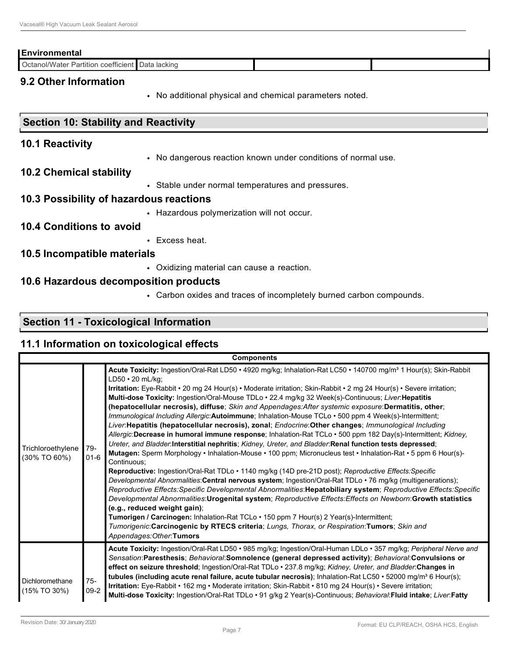#### **Environmental**

Octanol/Water Partition coefficient Data lacking

#### **9.2 Other Information**

• No additional physical and chemical parameters noted.

#### **Section 10: Stability and Reactivity**

#### **10.1 Reactivity**

• No dangerous reaction known under conditions of normal use.

#### **10.2 Chemical stability**

• Stable under normal temperatures and pressures.

#### **10.3 Possibility of hazardous reactions**

• Hazardous polymerization will not occur.

#### **10.4 Conditions to avoid**

• Excess heat.

#### **10.5 Incompatible materials**

• Oxidizing material can cause a reaction.

#### **10.6 Hazardous decomposition products**

• Carbon oxides and traces of incompletely burned carbon compounds.

#### **Section 11 - Toxicological Information**

#### **11.1 Information on toxicological effects**

| <b>Components</b>                  |                 |                                                                                                                                                                                                                                                                                                                                                                                                                                                                                                                                                                                                                                                                                                                                                                                                                                                                                                                                                                                                                                                                                                                                                                                                                                                                                                                                                                                                                                                                                                                                                                                                                                                                                                                                                                                         |  |  |  |
|------------------------------------|-----------------|-----------------------------------------------------------------------------------------------------------------------------------------------------------------------------------------------------------------------------------------------------------------------------------------------------------------------------------------------------------------------------------------------------------------------------------------------------------------------------------------------------------------------------------------------------------------------------------------------------------------------------------------------------------------------------------------------------------------------------------------------------------------------------------------------------------------------------------------------------------------------------------------------------------------------------------------------------------------------------------------------------------------------------------------------------------------------------------------------------------------------------------------------------------------------------------------------------------------------------------------------------------------------------------------------------------------------------------------------------------------------------------------------------------------------------------------------------------------------------------------------------------------------------------------------------------------------------------------------------------------------------------------------------------------------------------------------------------------------------------------------------------------------------------------|--|--|--|
| Trichloroethylene<br>(30% TO 60%)  | 79-<br>$01 - 6$ | Acute Toxicity: Ingestion/Oral-Rat LD50 · 4920 mg/kg; Inhalation-Rat LC50 · 140700 mg/m <sup>3</sup> 1 Hour(s); Skin-Rabbit<br>$LD50 \cdot 20$ mL/kg;<br>Irritation: Eye-Rabbit • 20 mg 24 Hour(s) • Moderate irritation; Skin-Rabbit • 2 mg 24 Hour(s) • Severe irritation;<br>Multi-dose Toxicity: Ingestion/Oral-Mouse TDLo · 22.4 mg/kg 32 Week(s)-Continuous; Liver: Hepatitis<br>(hepatocellular necrosis), diffuse; Skin and Appendages: After systemic exposure: Dermatitis, other;<br>Immunological Including Allergic: Autoimmune; Inhalation-Mouse TCLo . 500 ppm 4 Week(s)-Intermittent;<br>Liver:Hepatitis (hepatocellular necrosis), zonal; Endocrine:Other changes; Immunological Including<br>Allergic:Decrease in humoral immune response; Inhalation-Rat TCLo · 500 ppm 182 Day(s)-Intermittent; Kidney,<br>Ureter, and Bladder.Interstitial nephritis; Kidney, Ureter, and Bladder: Renal function tests depressed;<br>Mutagen: Sperm Morphology • Inhalation-Mouse • 100 ppm; Micronucleus test • Inhalation-Rat • 5 ppm 6 Hour(s)-<br>Continuous:<br>Reproductive: Ingestion/Oral-Rat TDLo • 1140 mg/kg (14D pre-21D post); Reproductive Effects: Specific<br>Developmental Abnormalities: Central nervous system; Ingestion/Oral-Rat TDLo · 76 mg/kg (multigenerations);<br>Reproductive Effects: Specific Developmental Abnormalities: Hepatobiliary system; Reproductive Effects: Specific<br>Developmental Abnormalities: Urogenital system; Reproductive Effects: Effects on Newborn: Growth statistics<br>(e.g., reduced weight gain);<br>Tumorigen / Carcinogen: Inhalation-Rat TCLo · 150 ppm 7 Hour(s) 2 Year(s)-Intermittent;<br>Tumorigenic:Carcinogenic by RTECS criteria; Lungs, Thorax, or Respiration:Tumors; Skin and<br>Appendages: Other: Tumors |  |  |  |
| Dichloromethane<br>$(15\%$ TO 30%) | $75-$<br>$09-2$ | Acute Toxicity: Ingestion/Oral-Rat LD50 · 985 mg/kg; Ingestion/Oral-Human LDLo · 357 mg/kg; Peripheral Nerve and<br>Sensation:Paresthesis; Behavioral:Somnolence (general depressed activity); Behavioral:Convulsions or<br>effect on seizure threshold; Ingestion/Oral-Rat TDLo · 237.8 mg/kg; Kidney, Ureter, and Bladder: Changes in<br>tubules (including acute renal failure, acute tubular necrosis); Inhalation-Rat LC50 • 52000 mg/m <sup>3</sup> 6 Hour(s);<br>Irritation: Eye-Rabbit • 162 mg • Moderate irritation; Skin-Rabbit • 810 mg 24 Hour(s) • Severe irritation;<br>Multi-dose Toxicity: Ingestion/Oral-Rat TDLo · 91 g/kg 2 Year(s)-Continuous; Behavioral: Fluid intake; Liver: Fatty                                                                                                                                                                                                                                                                                                                                                                                                                                                                                                                                                                                                                                                                                                                                                                                                                                                                                                                                                                                                                                                                              |  |  |  |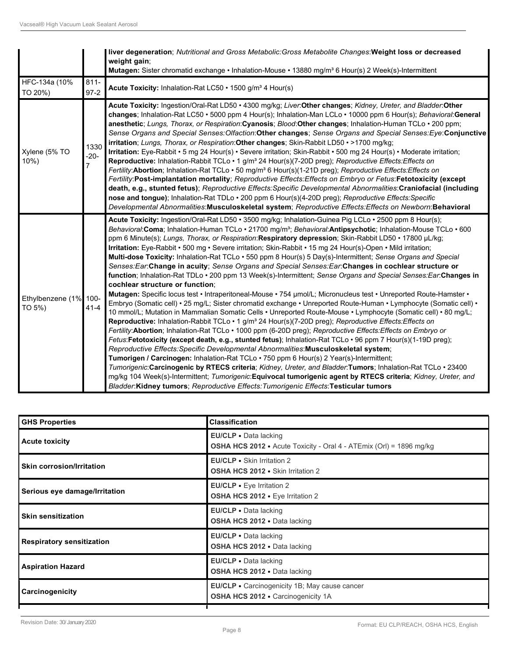|                                 |                     | Iver degeneration; Nutritional and Gross Metabolic: Gross Metabolite Changes: Weight loss or decreased<br>weight gain;<br>Mutagen: Sister chromatid exchange • Inhalation-Mouse • 13880 mg/m <sup>3</sup> 6 Hour(s) 2 Week(s)-Intermittent                                                                                                                                                                                                                                                                                                                                                                                                                                                                                                                                                                                                                                                                                                                                                                                                                                                                                                                                                                                                                                                                                                                                                                                                                                                                                                                                                                                                                                                                                                                                                                                                                                                                                                                                                                                                                                  |
|---------------------------------|---------------------|-----------------------------------------------------------------------------------------------------------------------------------------------------------------------------------------------------------------------------------------------------------------------------------------------------------------------------------------------------------------------------------------------------------------------------------------------------------------------------------------------------------------------------------------------------------------------------------------------------------------------------------------------------------------------------------------------------------------------------------------------------------------------------------------------------------------------------------------------------------------------------------------------------------------------------------------------------------------------------------------------------------------------------------------------------------------------------------------------------------------------------------------------------------------------------------------------------------------------------------------------------------------------------------------------------------------------------------------------------------------------------------------------------------------------------------------------------------------------------------------------------------------------------------------------------------------------------------------------------------------------------------------------------------------------------------------------------------------------------------------------------------------------------------------------------------------------------------------------------------------------------------------------------------------------------------------------------------------------------------------------------------------------------------------------------------------------------|
| HFC-134a (10%<br>TO 20%)        | $811 -$<br>$97-2$   | Acute Toxicity: Inhalation-Rat LC50 · 1500 g/m <sup>3</sup> 4 Hour(s)                                                                                                                                                                                                                                                                                                                                                                                                                                                                                                                                                                                                                                                                                                                                                                                                                                                                                                                                                                                                                                                                                                                                                                                                                                                                                                                                                                                                                                                                                                                                                                                                                                                                                                                                                                                                                                                                                                                                                                                                       |
| Xylene (5% TO<br>$10%$ )        | 1330<br>$-20-$<br>7 | Acute Toxicity: Ingestion/Oral-Rat LD50 • 4300 mg/kg; Liver:Other changes; Kidney, Ureter, and Bladder:Other<br>changes; Inhalation-Rat LC50 • 5000 ppm 4 Hour(s); Inhalation-Man LCLo • 10000 ppm 6 Hour(s); Behavioral: General<br>anesthetic; Lungs, Thorax, or Respiration: Cyanosis; Blood: Other changes; Inhalation-Human TCLo · 200 ppm;<br>Sense Organs and Special Senses: Olfaction: Other changes; Sense Organs and Special Senses: Eye: Conjunctive<br>irritation; Lungs, Thorax, or Respiration: Other changes; Skin-Rabbit LD50 · >1700 mg/kg;<br>Irritation: Eye-Rabbit • 5 mg 24 Hour(s) • Severe irritation; Skin-Rabbit • 500 mg 24 Hour(s) • Moderate irritation;<br>Reproductive: Inhalation-Rabbit TCLo · 1 g/m <sup>3</sup> 24 Hour(s)(7-20D preg); Reproductive Effects: Effects on<br>Fertility: Abortion; Inhalation-Rat TCLo · 50 mg/m <sup>3</sup> 6 Hour(s)(1-21D preg); Reproductive Effects: Effects on<br>Fertility:Post-implantation mortality; Reproductive Effects: Effects on Embryo or Fetus: Fetotoxicity (except<br>death, e.g., stunted fetus); Reproductive Effects: Specific Developmental Abnormalities: Craniofacial (including<br>nose and tongue); Inhalation-Rat TDLo · 200 ppm 6 Hour(s)(4-20D preg); Reproductive Effects: Specific<br>Developmental Abnormalities:Musculoskeletal system; Reproductive Effects:Effects on Newborn:Behavioral                                                                                                                                                                                                                                                                                                                                                                                                                                                                                                                                                                                                                                                                              |
| Ethylbenzene (1% 100-<br>TO 5%) | $41 - 4$            | Acute Toxicity: Ingestion/Oral-Rat LD50 · 3500 mg/kg; Inhalation-Guinea Pig LCLo · 2500 ppm 8 Hour(s);<br>Behavioral: Coma; Inhalation-Human TCLo · 21700 mg/m <sup>3</sup> ; Behavioral: Antipsychotic; Inhalation-Mouse TCLo · 600<br>ppm 6 Minute(s); Lungs, Thorax, or Respiration: Respiratory depression; Skin-Rabbit LD50 • 17800 µL/kg;<br>Irritation: Eye-Rabbit · 500 mg · Severe irritation; Skin-Rabbit · 15 mg 24 Hour(s)-Open · Mild irritation;<br>Multi-dose Toxicity: Inhalation-Rat TCLo · 550 ppm 8 Hour(s) 5 Day(s)-Intermittent; Sense Organs and Special<br>Senses: Ear: Change in acuity; Sense Organs and Special Senses: Ear: Changes in cochlear structure or<br>function; Inhalation-Rat TDLo · 200 ppm 13 Week(s)-Intermittent; Sense Organs and Special Senses: Ear: Changes in<br>cochlear structure or function:<br>Mutagen: Specific locus test • Intraperitoneal-Mouse • 754 µmol/L; Micronucleus test • Unreported Route-Hamster •<br>Embryo (Somatic cell) • 25 mg/L; Sister chromatid exchange • Unreported Route-Human • Lymphocyte (Somatic cell) •<br>10 mmol/L; Mutation in Mammalian Somatic Cells • Unreported Route-Mouse • Lymphocyte (Somatic cell) • 80 mg/L;<br>Reproductive: Inhalation-Rabbit TCLo · 1 g/m <sup>3</sup> 24 Hour(s)(7-20D preg); Reproductive Effects: Effects on<br>Fertility: Abortion; Inhalation-Rat TCLo · 1000 ppm (6-20D preg); Reproductive Effects: Effects on Embryo or<br>Fetus: Fetotoxicity (except death, e.g., stunted fetus); Inhalation-Rat TCLo · 96 ppm 7 Hour(s)(1-19D preg);<br>Reproductive Effects: Specific Developmental Abnormalities: Musculoskeletal system;<br>Tumorigen / Carcinogen: Inhalation-Rat TCLo · 750 ppm 6 Hour(s) 2 Year(s)-Intermittent;<br>Tumorigenic: Carcinogenic by RTECS criteria; Kidney, Ureter, and Bladder: Tumors; Inhalation-Rat TCLo · 23400<br>mg/kg 104 Week(s)-Intermittent; Tumorigenic:Equivocal tumorigenic agent by RTECS criteria; Kidney, Ureter, and<br>Bladder:Kidney tumors: Reproductive Effects:Tumorigenic Effects:Testicular tumors |

| <b>GHS Properties</b>            | <b>Classification</b>                                                                               |
|----------------------------------|-----------------------------------------------------------------------------------------------------|
| <b>Acute toxicity</b>            | EU/CLP · Data lacking<br><b>OSHA HCS 2012</b> • Acute Toxicity - Oral 4 - ATEmix (Orl) = 1896 mg/kg |
| <b>Skin corrosion/Irritation</b> | EU/CLP • Skin Irritation 2<br><b>OSHA HCS 2012 •</b> Skin Irritation 2                              |
| Serious eye damage/Irritation    | EU/CLP • Eye Irritation 2<br>OSHA HCS 2012 . Eye Irritation 2                                       |
| <b>Skin sensitization</b>        | <b>EU/CLP</b> • Data lacking<br><b>OSHA HCS 2012 •</b> Data lacking                                 |
| <b>Respiratory sensitization</b> | EU/CLP . Data lacking<br><b>OSHA HCS 2012 •</b> Data lacking                                        |
| <b>Aspiration Hazard</b>         | EU/CLP · Data lacking<br><b>OSHA HCS 2012 •</b> Data lacking                                        |
| Carcinogenicity                  | <b>EU/CLP</b> • Carcinogenicity 1B; May cause cancer<br><b>OSHA HCS 2012 • Carcinogenicity 1A</b>   |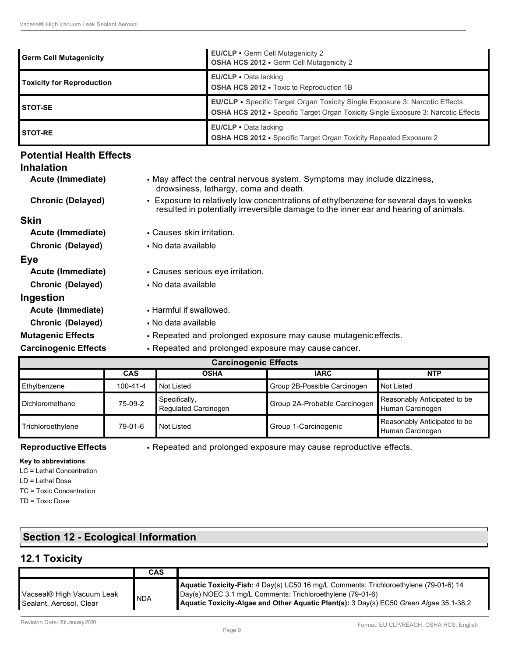| <b>Germ Cell Mutagenicity</b>    | <b>EU/CLP • Germ Cell Mutagenicity 2</b><br>OSHA HCS 2012 . Germ Cell Mutagenicity 2                                                                                            |
|----------------------------------|---------------------------------------------------------------------------------------------------------------------------------------------------------------------------------|
| <b>Toxicity for Reproduction</b> | <b>EU/CLP</b> • Data lacking<br><b>OSHA HCS 2012 •</b> Toxic to Reproduction 1B                                                                                                 |
| <b>STOT-SE</b>                   | <b>EU/CLP •</b> Specific Target Organ Toxicity Single Exposure 3: Narcotic Effects<br><b>OSHA HCS 2012 •</b> Specific Target Organ Toxicity Single Exposure 3: Narcotic Effects |
| <b>STOT-RE</b>                   | <b>EU/CLP</b> • Data lacking<br><b>OSHA HCS 2012 •</b> Specific Target Organ Toxicity Repeated Exposure 2                                                                       |

## **Potential Health Effects**

#### **Inhalation Acute (Immediate)** • May affect the central nervous system. Symptoms may include dizziness, drowsiness, lethargy, coma and death. **Chronic (Delayed)** • Exposure to relatively low concentrations of ethylbenzene for several days to weeks resulted in potentially irreversible damage to the inner ear and hearing of animals. **Skin Acute (Immediate)** • Causes skin irritation. **Chronic (Delayed)** • No data available **Eye Acute (Immediate)** • Causes serious eye irritation. **Chronic (Delayed)** • No data available **Ingestion Acute (Immediate)** • Harmful if swallowed. **Chronic (Delayed)** • No data available **Mutagenic Effects** • Repeated and prolonged exposure may cause mutageniceffects.

**Carcinogenic Effects** • Repeated and prolonged exposure may cause cancer.

| <b>Carcinogenic Effects</b> |            |                                       |                              |                                                  |  |  |
|-----------------------------|------------|---------------------------------------|------------------------------|--------------------------------------------------|--|--|
|                             | <b>NTP</b> |                                       |                              |                                                  |  |  |
| Ethylbenzene                | 100-41-4   | Not Listed                            | Group 2B-Possible Carcinogen | Not Listed                                       |  |  |
| Dichloromethane             | 75-09-2    | Specifically,<br>Regulated Carcinogen | Group 2A-Probable Carcinogen | Reasonably Anticipated to be<br>Human Carcinogen |  |  |
| Trichloroethylene           | 79-01-6    | Not Listed                            | Group 1-Carcinogenic         | Reasonably Anticipated to be<br>Human Carcinogen |  |  |

**Reproductive Effects** • Repeated and prolonged exposure may cause reproductive effects.

#### **Key to abbreviations**

LC = Lethal Concentration

LD = Lethal Dose

TC = Toxic Concentration

TD = Toxic Dose

### **Section 12 - Ecological Information**

### **12.1 Toxicity**

|                                                      | CAS        |                                                                                                                                                                                                                                               |
|------------------------------------------------------|------------|-----------------------------------------------------------------------------------------------------------------------------------------------------------------------------------------------------------------------------------------------|
| Vacseal® High Vacuum Leak<br>Sealant, Aerosol, Clear | <b>NDA</b> | Aquatic Toxicity-Fish: 4 Day(s) LC50 16 mg/L Comments: Trichloroethylene (79-01-6) 14<br>Day(s) NOEC 3.1 mg/L Comments: Trichloroethylene (79-01-6)<br>Aquatic Toxicity-Algae and Other Aquatic Plant(s): 3 Day(s) EC50 Green Algae 35.1-38.2 |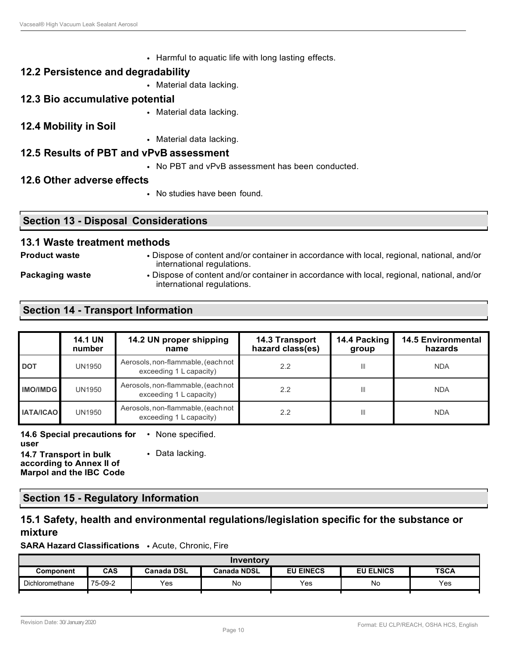• Harmful to aquatic life with long lasting effects.

#### **12.2 Persistence and degradability**

• Material data lacking.

#### **12.3 Bio accumulative potential**

- Material data lacking.
- **12.4 Mobility in Soil**
- Material data lacking.

#### **12.5 Results of PBT and vPvB assessment**

• No PBT and vPvB assessment has been conducted.

#### **12.6 Other adverse effects**

• No studies have been found.

#### **Section 13 - Disposal Considerations**

#### **13.1 Waste treatment methods**

- 
- **Product waste** Dispose of content and/or container in accordance with local, regional, national, and/or international regulations.
- 
- **Packaging waste** Dispose of content and/or container in accordance with local, regional, national, and/or international regulations.

#### **Section 14 - Transport Information**

|                  | <b>14.1 UN</b><br>number | 14.2 UN proper shipping<br>14.3 Transport<br>hazard class(es)<br>group<br>name |     | 14.4 Packing   | <b>14.5 Environmental</b><br>hazards |
|------------------|--------------------------|--------------------------------------------------------------------------------|-----|----------------|--------------------------------------|
| <b>DOT</b>       | <b>UN1950</b>            | Aerosols, non-flammable, (each not<br>exceeding 1 L capacity)                  | 2.2 | $\mathbb{H}$   | <b>NDA</b>                           |
| <b>IMO/IMDG</b>  | <b>UN1950</b>            | Aerosols, non-flammable, (each not<br>exceeding 1 L capacity)                  | 2.2 | $\mathbf{III}$ | <b>NDA</b>                           |
| <b>IATA/ICAO</b> | <b>UN1950</b>            | Aerosols, non-flammable, (each not<br>exceeding 1 L capacity)                  | 2.2 | $\mathbf{III}$ | <b>NDA</b>                           |

**14.6 Special precautions for**  • None specified.

**user 14.7 Transport in bulk according to Annex II of Marpol and the IBC Code**

• Data lacking.

#### **Section 15 - Regulatory Information**

#### **15.1 Safety, health and environmental regulations/legislation specific for the substance or mixture**

**SARA Hazard Classifications** • Acute, Chronic, Fire

| Inventory       |                                                                                                |     |    |     |    |     |  |
|-----------------|------------------------------------------------------------------------------------------------|-----|----|-----|----|-----|--|
| Component       | CAS<br><b>TSCA</b><br><b>EU EINECS</b><br><b>EU ELNICS</b><br>Canada DSL<br><b>Canada NDSL</b> |     |    |     |    |     |  |
| Dichloromethane | 75-09-2                                                                                        | Yes | No | Yes | No | Yes |  |
|                 |                                                                                                |     |    |     |    |     |  |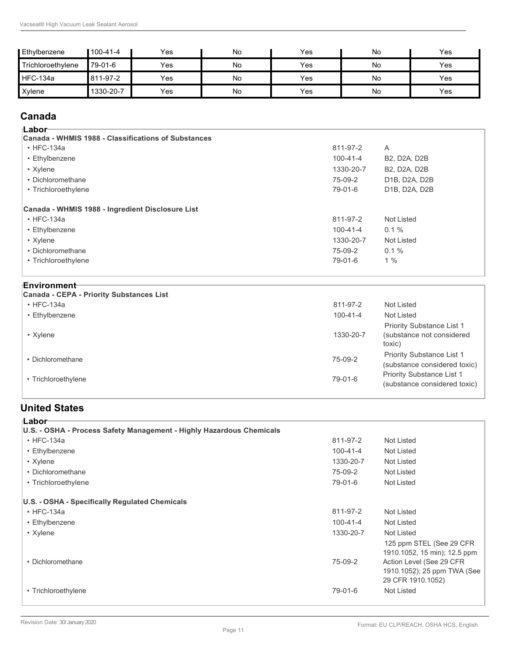| Ethylbenzene      | $100 - 41 - 4$ | Yes | No | Yes | No | Yes |
|-------------------|----------------|-----|----|-----|----|-----|
| Trichloroethylene | 79-01-6        | Yes | No | Yes | No | Yes |
| <b>HFC-134a</b>   | 811-97-2       | Yes | No | Yes | No | Yes |
| Xylene            | 1330-20-7      | Yes | No | Yes | No | Yes |

### **Canada**

| ⊺Labor <sup>.</sup>                                 |                |                     |
|-----------------------------------------------------|----------------|---------------------|
| Canada - WHMIS 1988 - Classifications of Substances |                |                     |
| $\cdot$ HFC-134a                                    | 811-97-2       | A                   |
| • Ethylbenzene                                      | $100 - 41 - 4$ | <b>B2, D2A, D2B</b> |
| • Xylene                                            | 1330-20-7      | <b>B2, D2A, D2B</b> |
| • Dichloromethane                                   | 75-09-2        | D1B, D2A, D2B       |
| • Trichloroethylene                                 | 79-01-6        | D1B, D2A, D2B       |
| Canada - WHMIS 1988 - Ingredient Disclosure List    |                |                     |
| $\cdot$ HFC-134a                                    | 811-97-2       | Not Listed          |
| • Ethylbenzene                                      | $100 - 41 - 4$ | $0.1 \%$            |
| • Xylene                                            | 1330-20-7      | Not Listed          |
| • Dichloromethane                                   | 75-09-2        | 0.1%                |
| • Trichloroethylene                                 | 79-01-6        | 1%                  |
| ⊧Environment                                        |                |                     |

• Dichloromethane 75-09-2

• Xylene  $\sim$  1330-20-7  $\sim$  1330-20-7  $\sim$  1510  $\sim$  1510  $\sim$  1510  $\sim$  1510  $\sim$  1510  $\sim$  1510  $\sim$  1510  $\sim$  1510  $\sim$  1510  $\sim$  1510  $\sim$  1510  $\sim$  1510  $\sim$  1510  $\sim$  1510  $\sim$  1510  $\sim$  1510  $\sim$  1510  $\sim$  1510  $\$ 

• HFC-134a 811-97-2 Not Listed • Ethylbenzene Not Listed Not Listed Not Listed Not Listed Not Listed Not Listed Not Listed Not Listed Not Listed

• Trichloroethylene 79-01-6

# **United States**

**Canada - CEPA - Priority Substances List**

| ⊧Labor                                                               |                |                                                                                                                                           |
|----------------------------------------------------------------------|----------------|-------------------------------------------------------------------------------------------------------------------------------------------|
| U.S. - OSHA - Process Safety Management - Highly Hazardous Chemicals |                |                                                                                                                                           |
| $\cdot$ HFC-134a                                                     | 811-97-2       | Not Listed                                                                                                                                |
| • Ethylbenzene                                                       | $100 - 41 - 4$ | Not Listed                                                                                                                                |
| • Xylene                                                             | 1330-20-7      | Not Listed                                                                                                                                |
| • Dichloromethane                                                    | 75-09-2        | Not Listed                                                                                                                                |
| • Trichloroethylene                                                  | 79-01-6        | Not Listed                                                                                                                                |
| U.S. - OSHA - Specifically Regulated Chemicals                       |                |                                                                                                                                           |
| $\cdot$ HFC-134a                                                     | 811-97-2       | Not Listed                                                                                                                                |
| • Ethylbenzene                                                       | $100 - 41 - 4$ | Not Listed                                                                                                                                |
| • Xylene                                                             | 1330-20-7      | Not Listed                                                                                                                                |
| • Dichloromethane                                                    | 75-09-2        | 125 ppm STEL (See 29 CFR)<br>1910.1052, 15 min); 12.5 ppm<br>Action Level (See 29 CFR<br>1910.1052); 25 ppm TWA (See<br>29 CFR 1910.1052) |
| • Trichloroethylene                                                  | 79-01-6        | Not Listed                                                                                                                                |
|                                                                      |                |                                                                                                                                           |

Priority Substance List 1 (substance considered toxic) Priority Substance List 1 (substance considered toxic)

toxic)

Priority Substance List 1 (substance not considered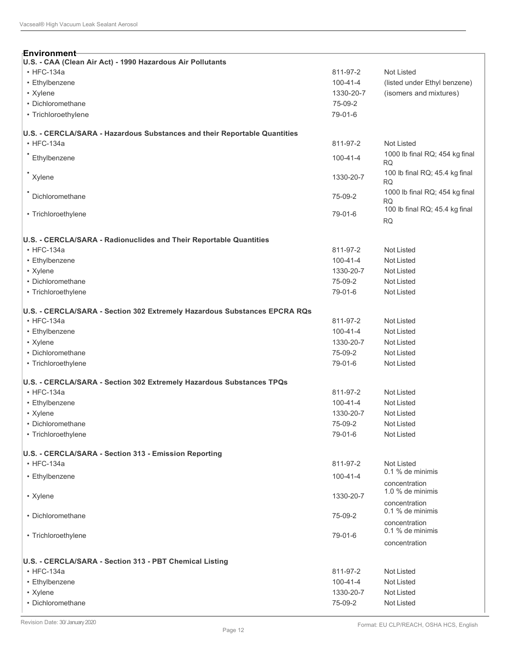| Environment-                                                              |                |                                             |
|---------------------------------------------------------------------------|----------------|---------------------------------------------|
| U.S. - CAA (Clean Air Act) - 1990 Hazardous Air Pollutants                |                |                                             |
| $\cdot$ HFC-134a                                                          | 811-97-2       | Not Listed                                  |
| • Ethylbenzene                                                            | $100 - 41 - 4$ | (listed under Ethyl benzene)                |
| • Xylene                                                                  | 1330-20-7      | (isomers and mixtures)                      |
| • Dichloromethane                                                         | 75-09-2        |                                             |
| • Trichloroethylene                                                       | 79-01-6        |                                             |
| U.S. - CERCLA/SARA - Hazardous Substances and their Reportable Quantities |                |                                             |
| $\cdot$ HFC-134a                                                          | 811-97-2       | Not Listed                                  |
| Ethylbenzene                                                              | $100 - 41 - 4$ | 1000 lb final RQ; 454 kg final<br><b>RQ</b> |
| Xylene                                                                    | 1330-20-7      | 100 lb final RQ; 45.4 kg final<br><b>RQ</b> |
| Dichloromethane                                                           | 75-09-2        | 1000 lb final RQ; 454 kg final<br><b>RQ</b> |
| • Trichloroethylene                                                       | 79-01-6        | 100 lb final RQ; 45.4 kg final<br><b>RQ</b> |
| U.S. - CERCLA/SARA - Radionuclides and Their Reportable Quantities        |                |                                             |
| $\cdot$ HFC-134a                                                          | 811-97-2       | Not Listed                                  |
| • Ethylbenzene                                                            | $100 - 41 - 4$ | Not Listed                                  |
| • Xylene                                                                  | 1330-20-7      | Not Listed                                  |
| • Dichloromethane                                                         | 75-09-2        | Not Listed                                  |
| • Trichloroethylene                                                       | 79-01-6        | Not Listed                                  |
| U.S. - CERCLA/SARA - Section 302 Extremely Hazardous Substances EPCRA RQs |                |                                             |
| $\cdot$ HFC-134a                                                          | 811-97-2       | Not Listed                                  |
| • Ethylbenzene                                                            | $100 - 41 - 4$ | Not Listed                                  |
| • Xylene                                                                  | 1330-20-7      | Not Listed                                  |
| • Dichloromethane                                                         | 75-09-2        | Not Listed                                  |
| • Trichloroethylene                                                       | 79-01-6        | Not Listed                                  |
| U.S. - CERCLA/SARA - Section 302 Extremely Hazardous Substances TPQs      |                |                                             |
| $\cdot$ HFC-134a                                                          | 811-97-2       | Not Listed                                  |
| • Ethylbenzene                                                            | $100 - 41 - 4$ | Not Listed                                  |
| • Xylene                                                                  | 1330-20-7      | Not Listed                                  |
| • Dichloromethane                                                         | 75-09-2        | Not Listed                                  |
| • Trichloroethylene                                                       | 79-01-6        | Not Listed                                  |
| U.S. - CERCLA/SARA - Section 313 - Emission Reporting<br>$\cdot$ HFC-134a | 811-97-2       | Not Listed                                  |
|                                                                           |                | $0.1\%$ de minimis                          |
| • Ethylbenzene                                                            | $100 - 41 - 4$ | concentration<br>1.0 % de minimis           |
| • Xylene                                                                  | 1330-20-7      | concentration<br>$0.1\%$ de minimis         |
| • Dichloromethane                                                         | 75-09-2        | concentration<br>$0.1\%$ de minimis         |
| • Trichloroethylene                                                       | 79-01-6        | concentration                               |
| U.S. - CERCLA/SARA - Section 313 - PBT Chemical Listing                   |                |                                             |
| $\cdot$ HFC-134a                                                          | 811-97-2       | Not Listed                                  |
| • Ethylbenzene                                                            | $100 - 41 - 4$ | Not Listed                                  |
| • Xylene                                                                  | 1330-20-7      | Not Listed                                  |
| • Dichloromethane                                                         | 75-09-2        | Not Listed                                  |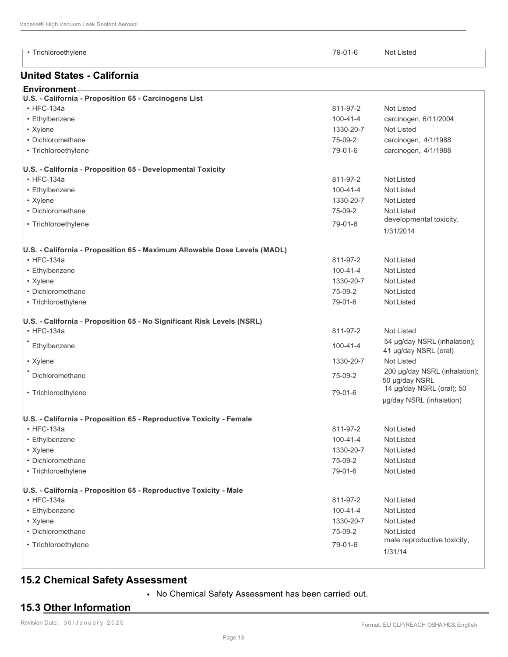• Trichloroethylene 79-01-6 Not Listed

#### **United States - California**

| <sub>⊩</sub> Environment⊣                                   |                |                       |
|-------------------------------------------------------------|----------------|-----------------------|
| U.S. - California - Proposition 65 - Carcinogens List       |                |                       |
| $\cdot$ HFC-134a                                            | 811-97-2       | Not Listed            |
| • Ethylbenzene                                              | $100 - 41 - 4$ | carcinogen, 6/11/2004 |
| • Xylene                                                    | 1330-20-7      | Not Listed            |
| • Dichloromethane                                           | 75-09-2        | carcinogen, 4/1/1988  |
| • Trichloroethylene                                         | 79-01-6        | carcinogen, 4/1/1988  |
| U.S. - California - Proposition 65 - Developmental Toxicity |                |                       |
| $\cdot$ HFC-134a                                            | 811-97-2       | Not Listed            |

| • Dichloromethane                                                         | 75-09-2        | <b>Not Listed</b>                                     |
|---------------------------------------------------------------------------|----------------|-------------------------------------------------------|
| • Trichloroethylene                                                       | 79-01-6        | developmental toxicity,                               |
|                                                                           |                | 1/31/2014                                             |
| U.S. - California - Proposition 65 - Maximum Allowable Dose Levels (MADL) |                |                                                       |
| $\cdot$ HFC-134a                                                          | 811-97-2       | <b>Not Listed</b>                                     |
| • Ethylbenzene                                                            | $100 - 41 - 4$ | Not Listed                                            |
| • Xylene                                                                  | 1330-20-7      | <b>Not Listed</b>                                     |
| • Dichloromethane                                                         | 75-09-2        | <b>Not Listed</b>                                     |
| • Trichloroethylene                                                       | 79-01-6        | <b>Not Listed</b>                                     |
| U.S. - California - Proposition 65 - No Significant Risk Levels (NSRL)    |                |                                                       |
| $\cdot$ HFC-134a                                                          | 811-97-2       | Not Listed                                            |
| Ethylbenzene                                                              | $100 - 41 - 4$ | 54 µg/day NSRL (inhalation);<br>41 µg/day NSRL (oral) |
| • Xylene                                                                  | 1330-20-7      | <b>Not Listed</b>                                     |
| Dichloromethane                                                           | 75-09-2        | 200 µg/day NSRL (inhalation);<br>50 µg/day NSRL       |
| • Trichloroethylene                                                       | 79-01-6        | 14 µg/day NSRL (oral); 50                             |
|                                                                           |                | µg/day NSRL (inhalation)                              |
| U.S. - California - Proposition 65 - Reproductive Toxicity - Female       |                |                                                       |
| $\cdot$ HFC-134a                                                          | 811-97-2       | <b>Not Listed</b>                                     |
| • Ethylbenzene                                                            | $100 - 41 - 4$ | <b>Not Listed</b>                                     |
| • Xylene                                                                  | 1330-20-7      | <b>Not Listed</b>                                     |
| • Dichloromethane                                                         | 75-09-2        | <b>Not Listed</b>                                     |
| • Trichloroethylene                                                       | 79-01-6        | Not Listed                                            |
| U.S. - California - Proposition 65 - Reproductive Toxicity - Male         |                |                                                       |
| $\cdot$ HFC-134a                                                          | 811-97-2       | <b>Not Listed</b>                                     |
| • Ethylbenzene                                                            | $100 - 41 - 4$ | Not Listed                                            |

• Ethylbenzene Not Listed Not Listed Not Listed Not Listed Not Listed Not Listed Not Listed Not Listed Not Listed • Xylene 1330-20-7 Not Listed

#### • Dichloromethane 75-09-2 Not Listed • Trichloroethylene **1990** male reproductive toxicity,

#### **15.2 Chemical Safety Assessment**

• No Chemical Safety Assessment has been carried out.

#### **15.3 Other Information**

1/31/14

• Xylene 1330-20-7 Not Listed